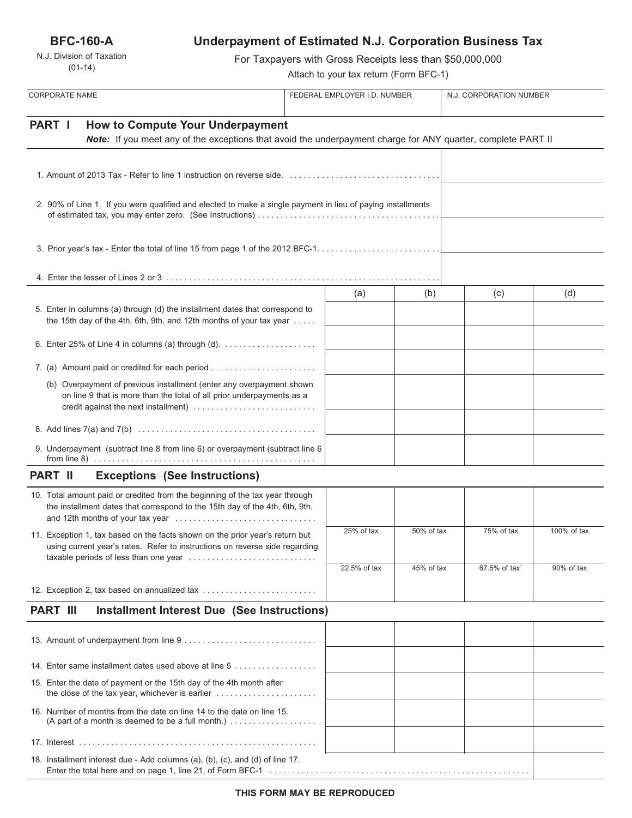**BFC-160-A**

N.J. Division of Taxation (01-14)

# **Underpayment of Estimated N.J. Corporation Business Tax**

For Taxpayers with Gross Receipts less than \$50,000,000

Attach to your tax return (Form BFC-1)

| <b>CORPORATE NAME</b>                                                                                                                                                                 |  | FEDERAL EMPLOYER I.D. NUMBER |            | N.J. CORPORATION NUMBER |             |
|---------------------------------------------------------------------------------------------------------------------------------------------------------------------------------------|--|------------------------------|------------|-------------------------|-------------|
| PART I<br><b>How to Compute Your Underpayment</b><br>Note: If you meet any of the exceptions that avoid the underpayment charge for ANY quarter, complete PART II                     |  |                              |            |                         |             |
|                                                                                                                                                                                       |  |                              |            |                         |             |
| 2. 90% of Line 1. If you were qualified and elected to make a single payment in lieu of paying installments                                                                           |  |                              |            |                         |             |
|                                                                                                                                                                                       |  |                              |            |                         |             |
|                                                                                                                                                                                       |  |                              |            |                         |             |
|                                                                                                                                                                                       |  | (a)                          | (b)        | (c)                     | (d)         |
| 5. Enter in columns (a) through (d) the installment dates that correspond to<br>the 15th day of the 4th, 6th, 9th, and 12th months of your tax year                                   |  |                              |            |                         |             |
| 6. Enter 25% of Line 4 in columns (a) through (d). $\ldots$                                                                                                                           |  |                              |            |                         |             |
| 7. (a) Amount paid or credited for each period                                                                                                                                        |  |                              |            |                         |             |
| (b) Overpayment of previous installment (enter any overpayment shown<br>on line 9 that is more than the total of all prior underpayments as a<br>credit against the next installment) |  |                              |            |                         |             |
|                                                                                                                                                                                       |  |                              |            |                         |             |
| 9. Underpayment (subtract line 8 from line 6) or overpayment (subtract line 6                                                                                                         |  |                              |            |                         |             |
| <b>PART II</b><br><b>Exceptions (See Instructions)</b>                                                                                                                                |  |                              |            |                         |             |
| 10. Total amount paid or credited from the beginning of the tax year through<br>the installment dates that correspond to the 15th day of the 4th, 6th, 9th,                           |  |                              |            |                         |             |
| 11. Exception 1, tax based on the facts shown on the prior year's return but<br>using current year's rates. Refer to instructions on reverse side regarding                           |  | 25% of tax                   | 50% of tax | 75% of tax              | 100% of tax |
| taxable periods of less than one year                                                                                                                                                 |  | 22.5% of tax                 | 45% of tax | 67.5% of tax`           | 90% of tax  |
| 12. Exception 2, tax based on annualized tax                                                                                                                                          |  |                              |            |                         |             |
| <b>PART III</b><br><b>Installment Interest Due (See Instructions)</b>                                                                                                                 |  |                              |            |                         |             |
|                                                                                                                                                                                       |  |                              |            |                         |             |
| 14. Enter same installment dates used above at line 5                                                                                                                                 |  |                              |            |                         |             |
| 15. Enter the date of payment or the 15th day of the 4th month after                                                                                                                  |  |                              |            |                         |             |
| 16. Number of months from the date on line 14 to the date on line 15.                                                                                                                 |  |                              |            |                         |             |
|                                                                                                                                                                                       |  |                              |            |                         |             |
| 18. Installment interest due - Add columns (a), (b), (c), and (d) of line 17.                                                                                                         |  |                              |            |                         |             |

Enter the total here and on page 1, line 21, of Form BFC-1 . . . . . . . . . . . . . . . . . . . . . . . . . . . . . . . . . . . . . . . . . . . . . . . . . . . . . . . . .